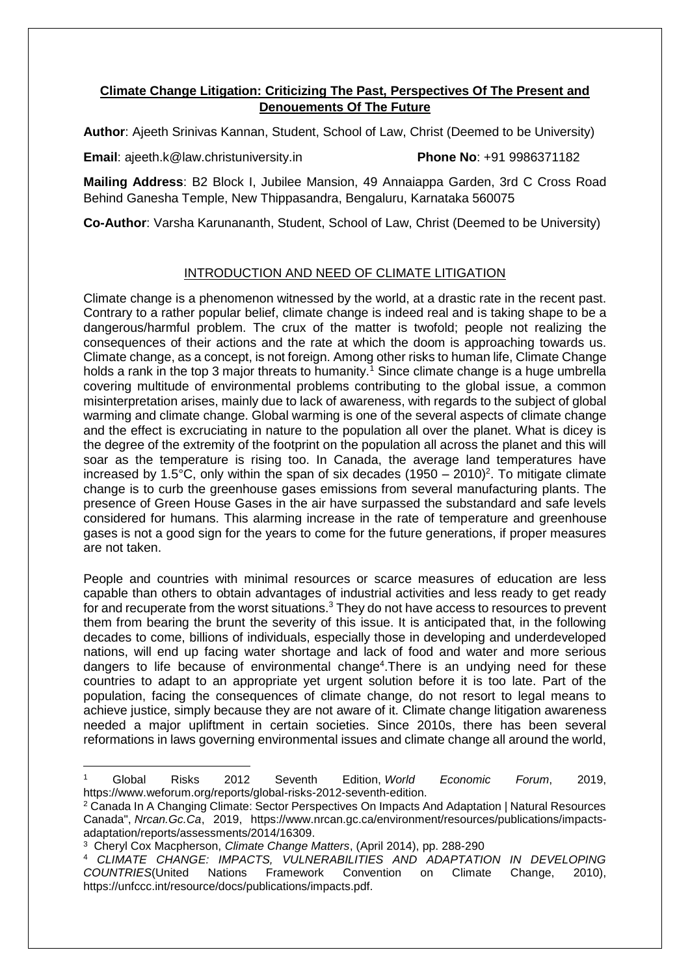## **Climate Change Litigation: Criticizing The Past, Perspectives Of The Present and Denouements Of The Future**

**Author**: Ajeeth Srinivas Kannan, Student, School of Law, Christ (Deemed to be University)

**Email**: ajeeth.k@law.christuniversity.in **Phone No**: +91 9986371182

**Mailing Address**: B2 Block I, Jubilee Mansion, 49 Annaiappa Garden, 3rd C Cross Road Behind Ganesha Temple, New Thippasandra, Bengaluru, Karnataka 560075

**Co-Author**: Varsha Karunananth, Student, School of Law, Christ (Deemed to be University)

## INTRODUCTION AND NEED OF CLIMATE LITIGATION

Climate change is a phenomenon witnessed by the world, at a drastic rate in the recent past. Contrary to a rather popular belief, climate change is indeed real and is taking shape to be a dangerous/harmful problem. The crux of the matter is twofold; people not realizing the consequences of their actions and the rate at which the doom is approaching towards us. Climate change, as a concept, is not foreign. Among other risks to human life, Climate Change holds a rank in the top 3 major threats to humanity.<sup>1</sup> Since climate change is a huge umbrella covering multitude of environmental problems contributing to the global issue, a common misinterpretation arises, mainly due to lack of awareness, with regards to the subject of global warming and climate change. Global warming is one of the several aspects of climate change and the effect is excruciating in nature to the population all over the planet. What is dicey is the degree of the extremity of the footprint on the population all across the planet and this will soar as the temperature is rising too. In Canada, the average land temperatures have increased by 1.5°C, only within the span of six decades  $(1950 - 2010)^2$ . To mitigate climate change is to curb the greenhouse gases emissions from several manufacturing plants. The presence of Green House Gases in the air have surpassed the substandard and safe levels considered for humans. This alarming increase in the rate of temperature and greenhouse gases is not a good sign for the years to come for the future generations, if proper measures are not taken.

People and countries with minimal resources or scarce measures of education are less capable than others to obtain advantages of industrial activities and less ready to get ready for and recuperate from the worst situations.<sup>3</sup> They do not have access to resources to prevent them from bearing the brunt the severity of this issue. It is anticipated that, in the following decades to come, billions of individuals, especially those in developing and underdeveloped nations, will end up facing water shortage and lack of food and water and more serious dangers to life because of environmental change<sup>4</sup>. There is an undying need for these countries to adapt to an appropriate yet urgent solution before it is too late. Part of the population, facing the consequences of climate change, do not resort to legal means to achieve justice, simply because they are not aware of it. Climate change litigation awareness needed a major upliftment in certain societies. Since 2010s, there has been several reformations in laws governing environmental issues and climate change all around the world,

 $\overline{a}$ 

<sup>1</sup> Global Risks 2012 Seventh Edition, *World Economic Forum*, 2019, https://www.weforum.org/reports/global-risks-2012-seventh-edition.

<sup>2</sup> Canada In A Changing Climate: Sector Perspectives On Impacts And Adaptation | Natural Resources Canada", *Nrcan.Gc.Ca*, 2019, https://www.nrcan.gc.ca/environment/resources/publications/impactsadaptation/reports/assessments/2014/16309.

<sup>3</sup> Cheryl Cox Macpherson, *Climate Change Matters*, (April 2014), pp. 288-290

<sup>4</sup> *CLIMATE CHANGE: IMPACTS, VULNERABILITIES AND ADAPTATION IN DEVELOPING COUNTRIES*(United Nations Framework Convention on Climate Change, 2010), https://unfccc.int/resource/docs/publications/impacts.pdf.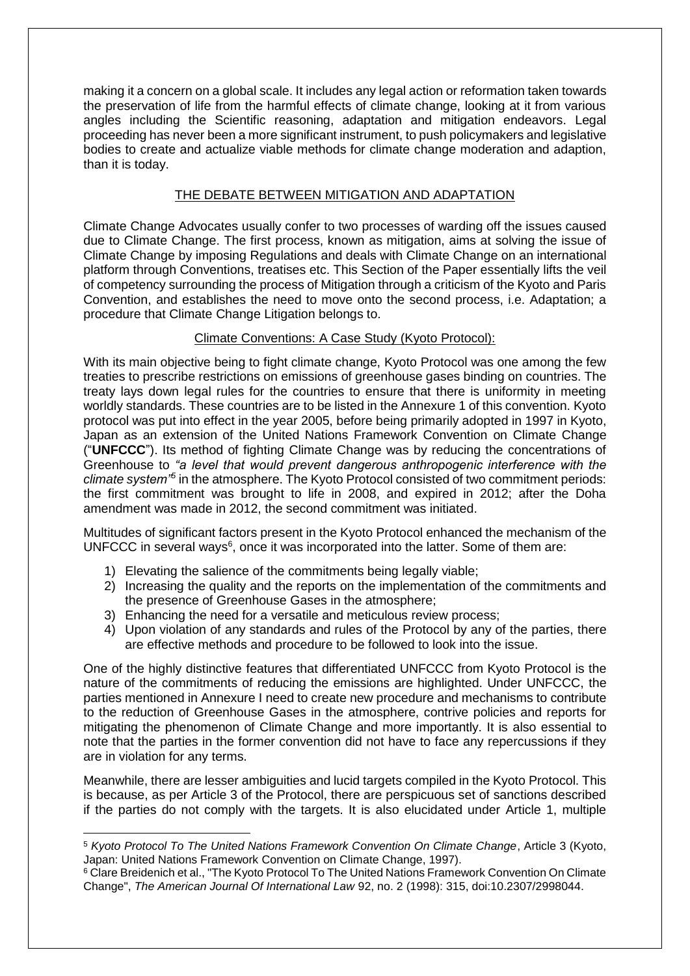making it a concern on a global scale. It includes any legal action or reformation taken towards the preservation of life from the harmful effects of climate change, looking at it from various angles including the Scientific reasoning, adaptation and mitigation endeavors. Legal proceeding has never been a more significant instrument, to push policymakers and legislative bodies to create and actualize viable methods for climate change moderation and adaption, than it is today.

## THE DEBATE BETWEEN MITIGATION AND ADAPTATION

Climate Change Advocates usually confer to two processes of warding off the issues caused due to Climate Change. The first process, known as mitigation, aims at solving the issue of Climate Change by imposing Regulations and deals with Climate Change on an international platform through Conventions, treatises etc. This Section of the Paper essentially lifts the veil of competency surrounding the process of Mitigation through a criticism of the Kyoto and Paris Convention, and establishes the need to move onto the second process, i.e. Adaptation; a procedure that Climate Change Litigation belongs to.

## Climate Conventions: A Case Study (Kyoto Protocol):

With its main objective being to fight climate change, Kyoto Protocol was one among the few treaties to prescribe restrictions on emissions of greenhouse gases binding on countries. The treaty lays down legal rules for the countries to ensure that there is uniformity in meeting worldly standards. These countries are to be listed in the Annexure 1 of this convention. Kyoto protocol was put into effect in the year 2005, before being primarily adopted in 1997 in Kyoto, Japan as an extension of the United Nations Framework Convention on Climate Change ("**UNFCCC**"). Its method of fighting Climate Change was by reducing the concentrations of Greenhouse to *"a level that would prevent dangerous anthropogenic interference with the climate system"<sup>5</sup>* in the atmosphere. The Kyoto Protocol consisted of two commitment periods: the first commitment was brought to life in 2008, and expired in 2012; after the Doha amendment was made in 2012, the second commitment was initiated.

Multitudes of significant factors present in the Kyoto Protocol enhanced the mechanism of the UNFCCC in several ways<sup>6</sup>, once it was incorporated into the latter. Some of them are:

- 1) Elevating the salience of the commitments being legally viable;
- 2) Increasing the quality and the reports on the implementation of the commitments and the presence of Greenhouse Gases in the atmosphere;
- 3) Enhancing the need for a versatile and meticulous review process;
- 4) Upon violation of any standards and rules of the Protocol by any of the parties, there are effective methods and procedure to be followed to look into the issue.

One of the highly distinctive features that differentiated UNFCCC from Kyoto Protocol is the nature of the commitments of reducing the emissions are highlighted. Under UNFCCC, the parties mentioned in Annexure I need to create new procedure and mechanisms to contribute to the reduction of Greenhouse Gases in the atmosphere, contrive policies and reports for mitigating the phenomenon of Climate Change and more importantly. It is also essential to note that the parties in the former convention did not have to face any repercussions if they are in violation for any terms.

Meanwhile, there are lesser ambiguities and lucid targets compiled in the Kyoto Protocol. This is because, as per Article 3 of the Protocol, there are perspicuous set of sanctions described if the parties do not comply with the targets. It is also elucidated under Article 1, multiple

<sup>1</sup> <sup>5</sup> *Kyoto Protocol To The United Nations Framework Convention On Climate Change*, Article 3 (Kyoto, Japan: United Nations Framework Convention on Climate Change, 1997).

<sup>&</sup>lt;sup>6</sup> Clare Breidenich et al., "The Kyoto Protocol To The United Nations Framework Convention On Climate Change", *The American Journal Of International Law* 92, no. 2 (1998): 315, doi:10.2307/2998044.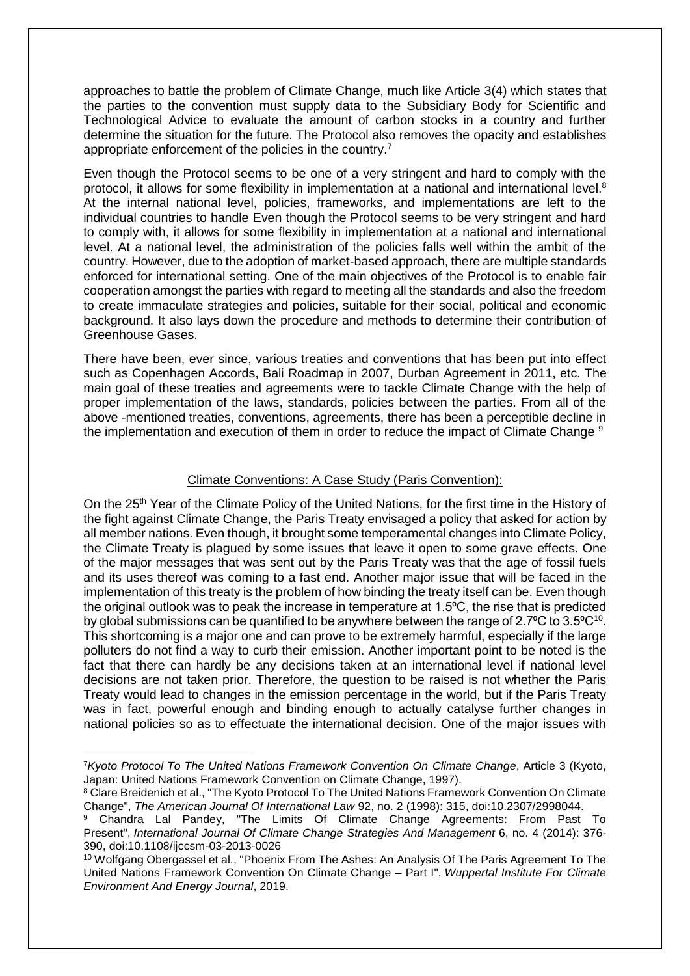approaches to battle the problem of Climate Change, much like Article 3(4) which states that the parties to the convention must supply data to the Subsidiary Body for Scientific and Technological Advice to evaluate the amount of carbon stocks in a country and further determine the situation for the future. The Protocol also removes the opacity and establishes appropriate enforcement of the policies in the country.<sup>7</sup>

Even though the Protocol seems to be one of a very stringent and hard to comply with the protocol, it allows for some flexibility in implementation at a national and international level.<sup>8</sup> At the internal national level, policies, frameworks, and implementations are left to the individual countries to handle Even though the Protocol seems to be very stringent and hard to comply with, it allows for some flexibility in implementation at a national and international level. At a national level, the administration of the policies falls well within the ambit of the country. However, due to the adoption of market-based approach, there are multiple standards enforced for international setting. One of the main objectives of the Protocol is to enable fair cooperation amongst the parties with regard to meeting all the standards and also the freedom to create immaculate strategies and policies, suitable for their social, political and economic background. It also lays down the procedure and methods to determine their contribution of Greenhouse Gases.

There have been, ever since, various treaties and conventions that has been put into effect such as Copenhagen Accords, Bali Roadmap in 2007, Durban Agreement in 2011, etc. The main goal of these treaties and agreements were to tackle Climate Change with the help of proper implementation of the laws, standards, policies between the parties. From all of the above -mentioned treaties, conventions, agreements, there has been a perceptible decline in the implementation and execution of them in order to reduce the impact of Climate Change<sup>9</sup>

#### Climate Conventions: A Case Study (Paris Convention):

On the 25<sup>th</sup> Year of the Climate Policy of the United Nations, for the first time in the History of the fight against Climate Change, the Paris Treaty envisaged a policy that asked for action by all member nations. Even though, it brought some temperamental changes into Climate Policy, the Climate Treaty is plagued by some issues that leave it open to some grave effects. One of the major messages that was sent out by the Paris Treaty was that the age of fossil fuels and its uses thereof was coming to a fast end. Another major issue that will be faced in the implementation of this treaty is the problem of how binding the treaty itself can be. Even though the original outlook was to peak the increase in temperature at 1.5<sup>o</sup>C, the rise that is predicted by global submissions can be quantified to be anywhere between the range of 2.7 $^{\circ}$ C to 3.5 $^{\circ}$ C $^{10}$ . This shortcoming is a major one and can prove to be extremely harmful, especially if the large polluters do not find a way to curb their emission. Another important point to be noted is the fact that there can hardly be any decisions taken at an international level if national level decisions are not taken prior. Therefore, the question to be raised is not whether the Paris Treaty would lead to changes in the emission percentage in the world, but if the Paris Treaty was in fact, powerful enough and binding enough to actually catalyse further changes in national policies so as to effectuate the international decision. One of the major issues with

**.** 

<sup>7</sup>*Kyoto Protocol To The United Nations Framework Convention On Climate Change*, Article 3 (Kyoto, Japan: United Nations Framework Convention on Climate Change, 1997).

<sup>8</sup> Clare Breidenich et al., "The Kyoto Protocol To The United Nations Framework Convention On Climate Change", *The American Journal Of International Law* 92, no. 2 (1998): 315, doi:10.2307/2998044.

<sup>9</sup> Chandra Lal Pandey, "The Limits Of Climate Change Agreements: From Past To Present", *International Journal Of Climate Change Strategies And Management* 6, no. 4 (2014): 376- 390, doi:10.1108/ijccsm-03-2013-0026

<sup>10</sup> Wolfgang Obergassel et al., "Phoenix From The Ashes: An Analysis Of The Paris Agreement To The United Nations Framework Convention On Climate Change – Part I", *Wuppertal Institute For Climate Environment And Energy Journal*, 2019.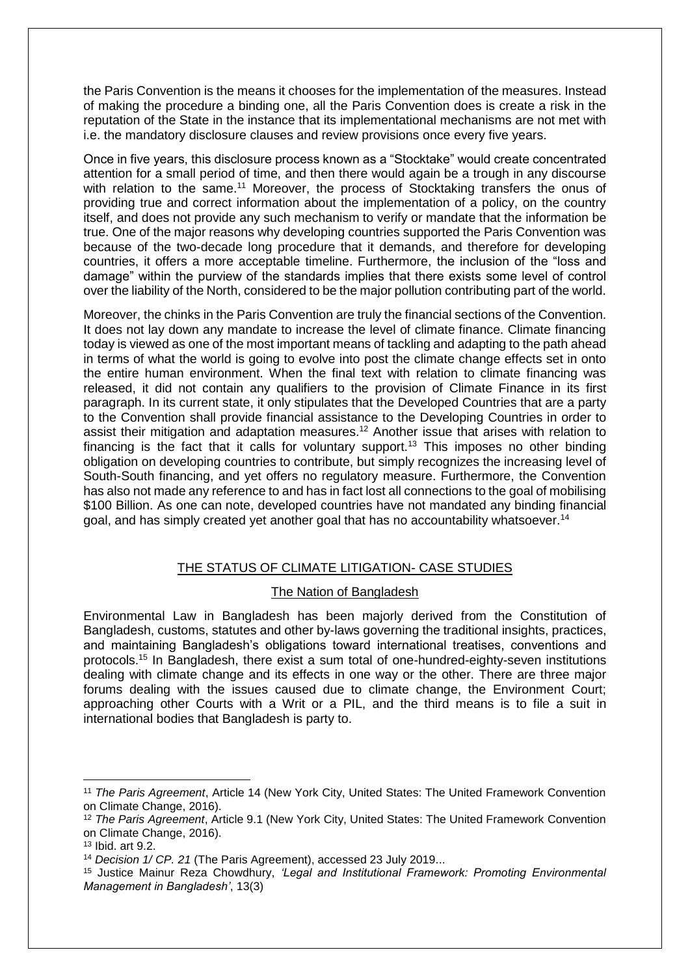the Paris Convention is the means it chooses for the implementation of the measures. Instead of making the procedure a binding one, all the Paris Convention does is create a risk in the reputation of the State in the instance that its implementational mechanisms are not met with i.e. the mandatory disclosure clauses and review provisions once every five years.

Once in five years, this disclosure process known as a "Stocktake" would create concentrated attention for a small period of time, and then there would again be a trough in any discourse with relation to the same.<sup>11</sup> Moreover, the process of Stocktaking transfers the onus of providing true and correct information about the implementation of a policy, on the country itself, and does not provide any such mechanism to verify or mandate that the information be true. One of the major reasons why developing countries supported the Paris Convention was because of the two-decade long procedure that it demands, and therefore for developing countries, it offers a more acceptable timeline. Furthermore, the inclusion of the "loss and damage" within the purview of the standards implies that there exists some level of control over the liability of the North, considered to be the major pollution contributing part of the world.

Moreover, the chinks in the Paris Convention are truly the financial sections of the Convention. It does not lay down any mandate to increase the level of climate finance. Climate financing today is viewed as one of the most important means of tackling and adapting to the path ahead in terms of what the world is going to evolve into post the climate change effects set in onto the entire human environment. When the final text with relation to climate financing was released, it did not contain any qualifiers to the provision of Climate Finance in its first paragraph. In its current state, it only stipulates that the Developed Countries that are a party to the Convention shall provide financial assistance to the Developing Countries in order to assist their mitigation and adaptation measures.<sup>12</sup> Another issue that arises with relation to financing is the fact that it calls for voluntary support.<sup>13</sup> This imposes no other binding obligation on developing countries to contribute, but simply recognizes the increasing level of South-South financing, and yet offers no regulatory measure. Furthermore, the Convention has also not made any reference to and has in fact lost all connections to the goal of mobilising \$100 Billion. As one can note, developed countries have not mandated any binding financial goal, and has simply created yet another goal that has no accountability whatsoever.<sup>14</sup>

### THE STATUS OF CLIMATE LITIGATION- CASE STUDIES

### The Nation of Bangladesh

Environmental Law in Bangladesh has been majorly derived from the Constitution of Bangladesh, customs, statutes and other by-laws governing the traditional insights, practices, and maintaining Bangladesh's obligations toward international treatises, conventions and protocols.<sup>15</sup> In Bangladesh, there exist a sum total of one-hundred-eighty-seven institutions dealing with climate change and its effects in one way or the other. There are three major forums dealing with the issues caused due to climate change, the Environment Court; approaching other Courts with a Writ or a PIL, and the third means is to file a suit in international bodies that Bangladesh is party to.

<sup>11</sup> *The Paris Agreement*, Article 14 (New York City, United States: The United Framework Convention on Climate Change, 2016).

<sup>12</sup> *The Paris Agreement*, Article 9.1 (New York City, United States: The United Framework Convention on Climate Change, 2016).

<sup>13</sup> Ibid. art 9.2.

<sup>14</sup> *Decision 1/ CP. 21* (The Paris Agreement), accessed 23 July 2019...

<sup>15</sup> Justice Mainur Reza Chowdhury, *'Legal and Institutional Framework: Promoting Environmental Management in Bangladesh'*, 13(3)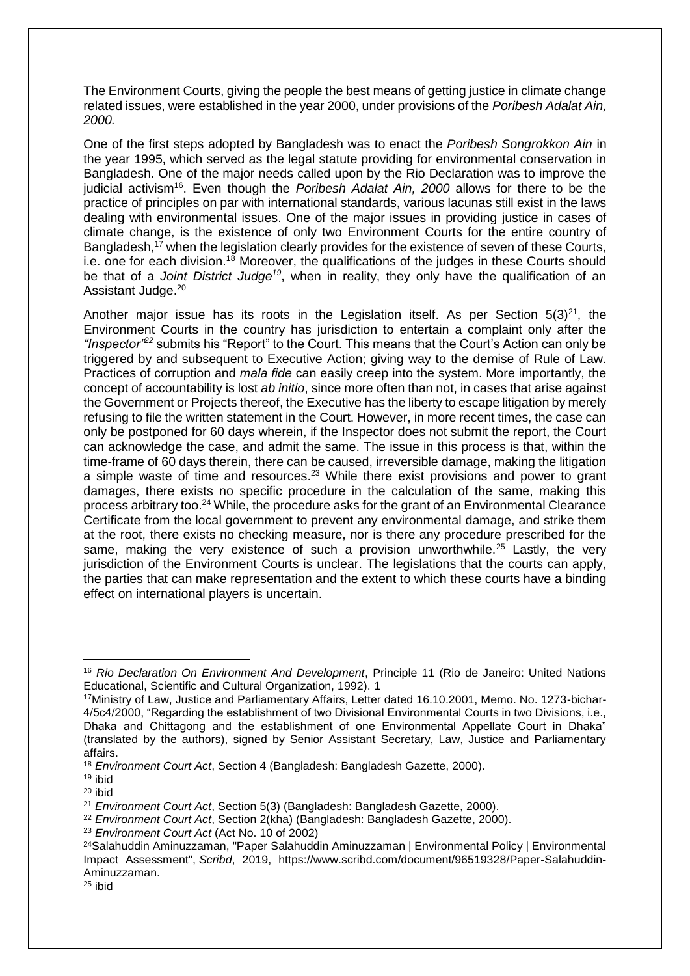The Environment Courts, giving the people the best means of getting justice in climate change related issues, were established in the year 2000, under provisions of the *Poribesh Adalat Ain, 2000.*

One of the first steps adopted by Bangladesh was to enact the *Poribesh Songrokkon Ain* in the year 1995, which served as the legal statute providing for environmental conservation in Bangladesh. One of the major needs called upon by the Rio Declaration was to improve the judicial activism<sup>16</sup>. Even though the *Poribesh Adalat Ain, 2000* allows for there to be the practice of principles on par with international standards, various lacunas still exist in the laws dealing with environmental issues. One of the major issues in providing justice in cases of climate change, is the existence of only two Environment Courts for the entire country of Bangladesh, $17$  when the legislation clearly provides for the existence of seven of these Courts. i.e. one for each division.<sup>18</sup> Moreover, the qualifications of the judges in these Courts should be that of a *Joint District Judge<sup>19</sup>*, when in reality, they only have the qualification of an Assistant Judge.<sup>20</sup>

Another major issue has its roots in the Legislation itself. As per Section  $5(3)^{21}$ , the Environment Courts in the country has jurisdiction to entertain a complaint only after the *"Inspector"<sup>22</sup>* submits his "Report" to the Court. This means that the Court's Action can only be triggered by and subsequent to Executive Action; giving way to the demise of Rule of Law. Practices of corruption and *mala fide* can easily creep into the system. More importantly, the concept of accountability is lost *ab initio*, since more often than not, in cases that arise against the Government or Projects thereof, the Executive has the liberty to escape litigation by merely refusing to file the written statement in the Court. However, in more recent times, the case can only be postponed for 60 days wherein, if the Inspector does not submit the report, the Court can acknowledge the case, and admit the same. The issue in this process is that, within the time-frame of 60 days therein, there can be caused, irreversible damage, making the litigation a simple waste of time and resources.<sup>23</sup> While there exist provisions and power to grant damages, there exists no specific procedure in the calculation of the same, making this process arbitrary too.<sup>24</sup> While, the procedure asks for the grant of an Environmental Clearance Certificate from the local government to prevent any environmental damage, and strike them at the root, there exists no checking measure, nor is there any procedure prescribed for the same, making the very existence of such a provision unworthwhile.<sup>25</sup> Lastly, the very jurisdiction of the Environment Courts is unclear. The legislations that the courts can apply, the parties that can make representation and the extent to which these courts have a binding effect on international players is uncertain.

<sup>16</sup> *Rio Declaration On Environment And Development*, Principle 11 (Rio de Janeiro: United Nations Educational, Scientific and Cultural Organization, 1992). 1

<sup>17</sup>Ministry of Law, Justice and Parliamentary Affairs, Letter dated 16.10.2001, Memo. No. 1273-bichar-4/5c4/2000, "Regarding the establishment of two Divisional Environmental Courts in two Divisions, i.e., Dhaka and Chittagong and the establishment of one Environmental Appellate Court in Dhaka" (translated by the authors), signed by Senior Assistant Secretary, Law, Justice and Parliamentary affairs.

<sup>18</sup> *Environment Court Act*, Section 4 (Bangladesh: Bangladesh Gazette, 2000).

<sup>19</sup> ibid

<sup>20</sup> ibid

<sup>21</sup> *Environment Court Act*, Section 5(3) (Bangladesh: Bangladesh Gazette, 2000).

<sup>22</sup> *Environment Court Act*, Section 2(kha) (Bangladesh: Bangladesh Gazette, 2000).

<sup>23</sup> *Environment Court Act* (Act No. 10 of 2002)

<sup>24</sup>Salahuddin Aminuzzaman, "Paper Salahuddin Aminuzzaman | Environmental Policy | Environmental Impact Assessment", *Scribd*, 2019, https://www.scribd.com/document/96519328/Paper-Salahuddin-Aminuzzaman.

<sup>25</sup> ibid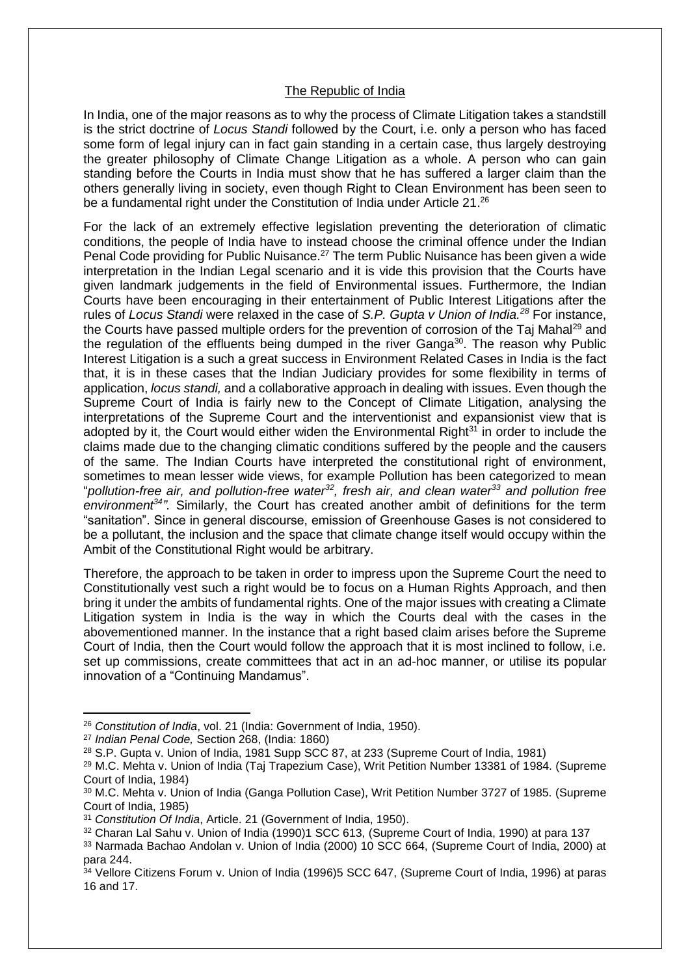#### The Republic of India

In India, one of the major reasons as to why the process of Climate Litigation takes a standstill is the strict doctrine of *Locus Standi* followed by the Court, i.e. only a person who has faced some form of legal injury can in fact gain standing in a certain case, thus largely destroying the greater philosophy of Climate Change Litigation as a whole. A person who can gain standing before the Courts in India must show that he has suffered a larger claim than the others generally living in society, even though Right to Clean Environment has been seen to be a fundamental right under the Constitution of India under Article 21.<sup>26</sup>

For the lack of an extremely effective legislation preventing the deterioration of climatic conditions, the people of India have to instead choose the criminal offence under the Indian Penal Code providing for Public Nuisance.<sup>27</sup> The term Public Nuisance has been given a wide interpretation in the Indian Legal scenario and it is vide this provision that the Courts have given landmark judgements in the field of Environmental issues. Furthermore, the Indian Courts have been encouraging in their entertainment of Public Interest Litigations after the rules of *Locus Standi* were relaxed in the case of *S.P. Gupta v Union of India.<sup>28</sup>* For instance, the Courts have passed multiple orders for the prevention of corrosion of the Taj Mahal<sup>29</sup> and the regulation of the effluents being dumped in the river Ganga<sup>30</sup>. The reason why Public Interest Litigation is a such a great success in Environment Related Cases in India is the fact that, it is in these cases that the Indian Judiciary provides for some flexibility in terms of application, *locus standi,* and a collaborative approach in dealing with issues. Even though the Supreme Court of India is fairly new to the Concept of Climate Litigation, analysing the interpretations of the Supreme Court and the interventionist and expansionist view that is adopted by it, the Court would either widen the Environmental Right $31$  in order to include the claims made due to the changing climatic conditions suffered by the people and the causers of the same. The Indian Courts have interpreted the constitutional right of environment, sometimes to mean lesser wide views, for example Pollution has been categorized to mean "*pollution-free air, and pollution-free water<sup>32</sup>, fresh air, and clean water<sup>33</sup> and pollution free environment<sup>34</sup>".* Similarly, the Court has created another ambit of definitions for the term "sanitation". Since in general discourse, emission of Greenhouse Gases is not considered to be a pollutant, the inclusion and the space that climate change itself would occupy within the Ambit of the Constitutional Right would be arbitrary.

Therefore, the approach to be taken in order to impress upon the Supreme Court the need to Constitutionally vest such a right would be to focus on a Human Rights Approach, and then bring it under the ambits of fundamental rights. One of the major issues with creating a Climate Litigation system in India is the way in which the Courts deal with the cases in the abovementioned manner. In the instance that a right based claim arises before the Supreme Court of India, then the Court would follow the approach that it is most inclined to follow, i.e. set up commissions, create committees that act in an ad-hoc manner, or utilise its popular innovation of a "Continuing Mandamus".

**.** 

<sup>26</sup> *Constitution of India*, vol. 21 (India: Government of India, 1950).

<sup>27</sup> *Indian Penal Code,* Section 268, (India: 1860)

<sup>28</sup> S.P. Gupta v. Union of India, 1981 Supp SCC 87, at 233 (Supreme Court of India, 1981)

<sup>29</sup> M.C. Mehta v. Union of India (Taj Trapezium Case), Writ Petition Number 13381 of 1984. (Supreme Court of India, 1984)

<sup>30</sup> M.C. Mehta v. Union of India (Ganga Pollution Case), Writ Petition Number 3727 of 1985. (Supreme Court of India, 1985)

<sup>31</sup> *Constitution Of India*, Article. 21 (Government of India, 1950).

<sup>32</sup> Charan Lal Sahu v. Union of India (1990)1 SCC 613, (Supreme Court of India, 1990) at para 137

<sup>33</sup> Narmada Bachao Andolan v. Union of India (2000) 10 SCC 664, (Supreme Court of India, 2000) at para 244.

<sup>34</sup> Vellore Citizens Forum v. Union of India (1996)5 SCC 647, (Supreme Court of India, 1996) at paras 16 and 17.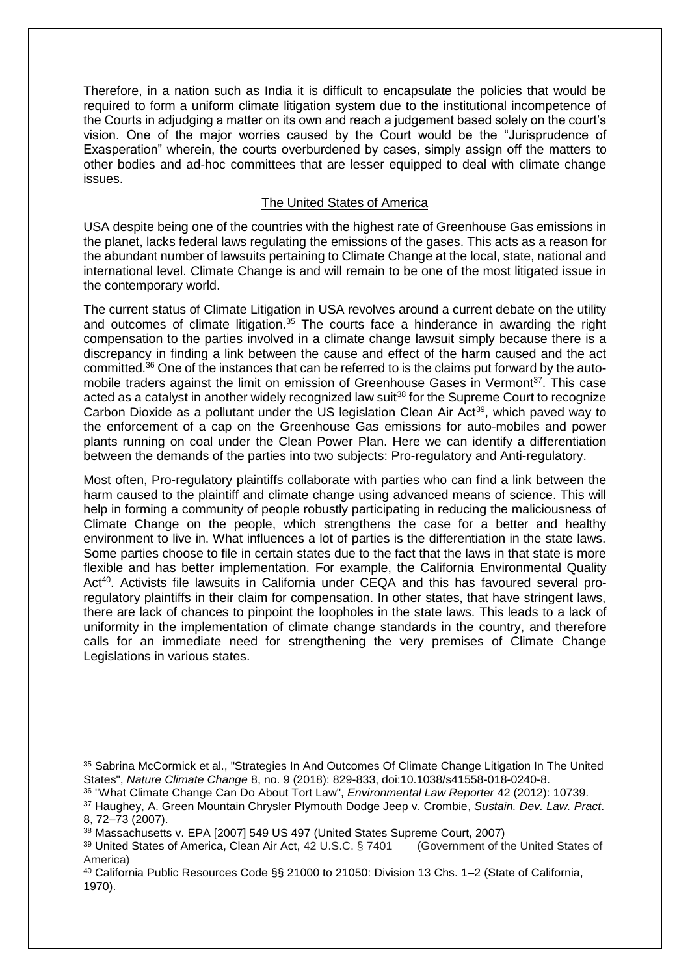Therefore, in a nation such as India it is difficult to encapsulate the policies that would be required to form a uniform climate litigation system due to the institutional incompetence of the Courts in adjudging a matter on its own and reach a judgement based solely on the court's vision. One of the major worries caused by the Court would be the "Jurisprudence of Exasperation" wherein, the courts overburdened by cases, simply assign off the matters to other bodies and ad-hoc committees that are lesser equipped to deal with climate change issues.

### The United States of America

USA despite being one of the countries with the highest rate of Greenhouse Gas emissions in the planet, lacks federal laws regulating the emissions of the gases. This acts as a reason for the abundant number of lawsuits pertaining to Climate Change at the local, state, national and international level. Climate Change is and will remain to be one of the most litigated issue in the contemporary world.

The current status of Climate Litigation in USA revolves around a current debate on the utility and outcomes of climate litigation.<sup>35</sup> The courts face a hinderance in awarding the right compensation to the parties involved in a climate change lawsuit simply because there is a discrepancy in finding a link between the cause and effect of the harm caused and the act committed.<sup>36</sup> One of the instances that can be referred to is the claims put forward by the automobile traders against the limit on emission of Greenhouse Gases in Vermont<sup>37</sup>. This case acted as a catalyst in another widely recognized law suit<sup>38</sup> for the Supreme Court to recognize Carbon Dioxide as a pollutant under the US legislation Clean Air Act<sup>39</sup>, which paved way to the enforcement of a cap on the Greenhouse Gas emissions for auto-mobiles and power plants running on coal under the Clean Power Plan. Here we can identify a differentiation between the demands of the parties into two subjects: Pro-regulatory and Anti-regulatory.

Most often, Pro-regulatory plaintiffs collaborate with parties who can find a link between the harm caused to the plaintiff and climate change using advanced means of science. This will help in forming a community of people robustly participating in reducing the maliciousness of Climate Change on the people, which strengthens the case for a better and healthy environment to live in. What influences a lot of parties is the differentiation in the state laws. Some parties choose to file in certain states due to the fact that the laws in that state is more flexible and has better implementation. For example, the California Environmental Quality Act<sup>40</sup>. Activists file lawsuits in California under CEQA and this has favoured several proregulatory plaintiffs in their claim for compensation. In other states, that have stringent laws, there are lack of chances to pinpoint the loopholes in the state laws. This leads to a lack of uniformity in the implementation of climate change standards in the country, and therefore calls for an immediate need for strengthening the very premises of Climate Change Legislations in various states.

**.** 

<sup>35</sup> Sabrina McCormick et al., "Strategies In And Outcomes Of Climate Change Litigation In The United States", *Nature Climate Change* 8, no. 9 (2018): 829-833, doi:10.1038/s41558-018-0240-8.

<sup>36</sup> "What Climate Change Can Do About Tort Law", *Environmental Law Reporter* 42 (2012): 10739.

<sup>37</sup> Haughey, A. Green Mountain Chrysler Plymouth Dodge Jeep v. Crombie, *Sustain. Dev. Law. Pract*. 8, 72–73 (2007).

<sup>38</sup> Massachusetts v. EPA [2007] 549 US 497 (United States Supreme Court, 2007)

<sup>39</sup> United States of America, Clean Air Act, 42 U.S.C. § 7401 (Government of the United States of America)

<sup>40</sup> California Public Resources Code §§ 21000 to 21050: Division 13 Chs. 1–2 (State of California, 1970).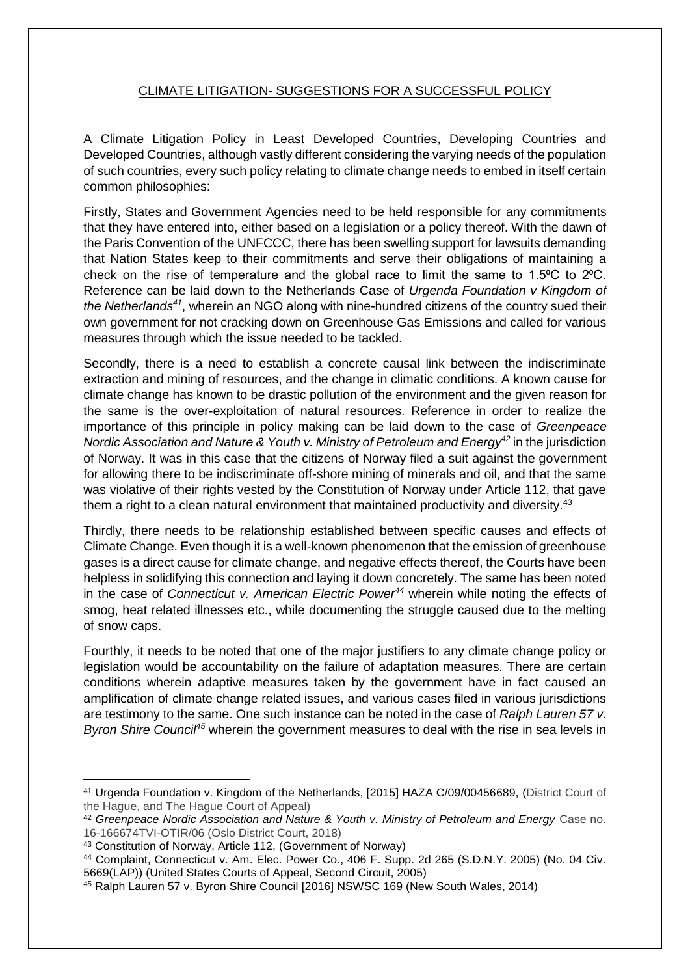# CLIMATE LITIGATION- SUGGESTIONS FOR A SUCCESSFUL POLICY

A Climate Litigation Policy in Least Developed Countries, Developing Countries and Developed Countries, although vastly different considering the varying needs of the population of such countries, every such policy relating to climate change needs to embed in itself certain common philosophies:

Firstly, States and Government Agencies need to be held responsible for any commitments that they have entered into, either based on a legislation or a policy thereof. With the dawn of the Paris Convention of the UNFCCC, there has been swelling support for lawsuits demanding that Nation States keep to their commitments and serve their obligations of maintaining a check on the rise of temperature and the global race to limit the same to  $1.5\degree$ C to  $2\degree$ C. Reference can be laid down to the Netherlands Case of *Urgenda Foundation v Kingdom of the Netherlands<sup>41</sup>*, wherein an NGO along with nine-hundred citizens of the country sued their own government for not cracking down on Greenhouse Gas Emissions and called for various measures through which the issue needed to be tackled.

Secondly, there is a need to establish a concrete causal link between the indiscriminate extraction and mining of resources, and the change in climatic conditions. A known cause for climate change has known to be drastic pollution of the environment and the given reason for the same is the over-exploitation of natural resources. Reference in order to realize the importance of this principle in policy making can be laid down to the case of *Greenpeace Nordic Association and Nature & Youth v. Ministry of Petroleum and Energy<sup>42</sup>* in the jurisdiction of Norway. It was in this case that the citizens of Norway filed a suit against the government for allowing there to be indiscriminate off-shore mining of minerals and oil, and that the same was violative of their rights vested by the Constitution of Norway under Article 112, that gave them a right to a clean natural environment that maintained productivity and diversity.<sup>43</sup>

Thirdly, there needs to be relationship established between specific causes and effects of Climate Change. Even though it is a well-known phenomenon that the emission of greenhouse gases is a direct cause for climate change, and negative effects thereof, the Courts have been helpless in solidifying this connection and laying it down concretely. The same has been noted in the case of *Connecticut v. American Electric Power<sup>44</sup>* wherein while noting the effects of smog, heat related illnesses etc., while documenting the struggle caused due to the melting of snow caps.

Fourthly, it needs to be noted that one of the major justifiers to any climate change policy or legislation would be accountability on the failure of adaptation measures. There are certain conditions wherein adaptive measures taken by the government have in fact caused an amplification of climate change related issues, and various cases filed in various jurisdictions are testimony to the same. One such instance can be noted in the case of *Ralph Lauren 57 v. Byron Shire Council<sup>45</sup>* wherein the government measures to deal with the rise in sea levels in

<sup>41</sup> Urgenda Foundation v. Kingdom of the Netherlands, [2015] HAZA C/09/00456689, (District Court of the Hague, and The Hague Court of Appeal)

<sup>42</sup> *Greenpeace Nordic Association and Nature & Youth v. Ministry of Petroleum and Energy* Case no. 16-166674TVI-OTIR/06 (Oslo District Court, 2018)

<sup>43</sup> Constitution of Norway, Article 112, (Government of Norway)

<sup>44</sup> Complaint, Connecticut v. Am. Elec. Power Co., 406 F. Supp. 2d 265 (S.D.N.Y. 2005) (No. 04 Civ. 5669(LAP)) (United States Courts of Appeal, Second Circuit, 2005)

<sup>45</sup> Ralph Lauren 57 v. Byron Shire Council [2016] NSWSC 169 (New South Wales, 2014)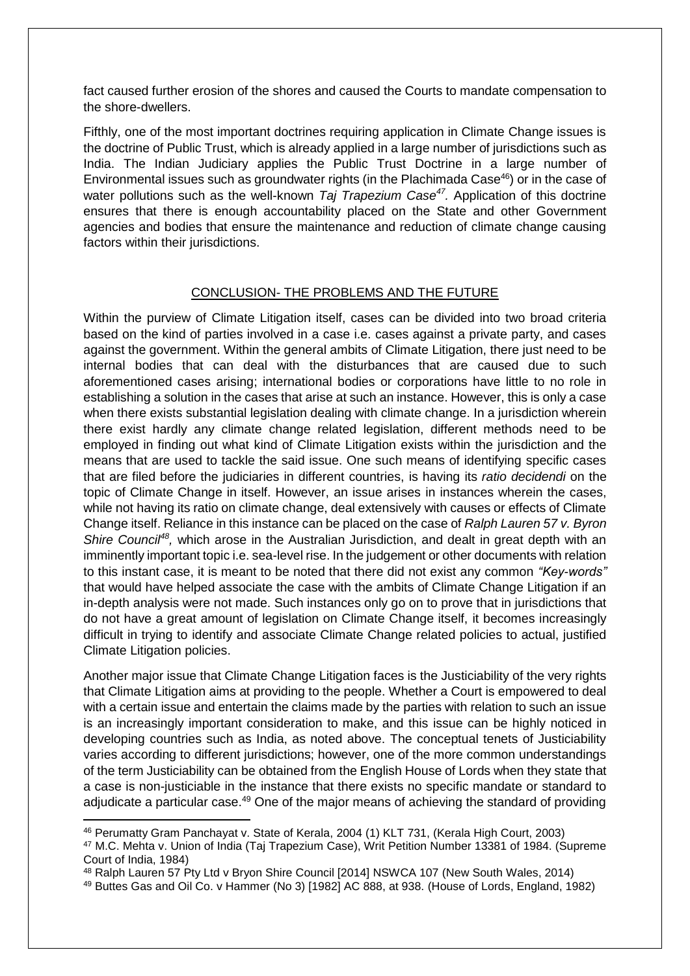fact caused further erosion of the shores and caused the Courts to mandate compensation to the shore-dwellers.

Fifthly, one of the most important doctrines requiring application in Climate Change issues is the doctrine of Public Trust, which is already applied in a large number of jurisdictions such as India. The Indian Judiciary applies the Public Trust Doctrine in a large number of Environmental issues such as groundwater rights (in the Plachimada Case<sup>46</sup>) or in the case of water pollutions such as the well-known *Taj Trapezium Case<sup>47</sup> .* Application of this doctrine ensures that there is enough accountability placed on the State and other Government agencies and bodies that ensure the maintenance and reduction of climate change causing factors within their jurisdictions.

#### CONCLUSION- THE PROBLEMS AND THE FUTURE

Within the purview of Climate Litigation itself, cases can be divided into two broad criteria based on the kind of parties involved in a case i.e. cases against a private party, and cases against the government. Within the general ambits of Climate Litigation, there just need to be internal bodies that can deal with the disturbances that are caused due to such aforementioned cases arising; international bodies or corporations have little to no role in establishing a solution in the cases that arise at such an instance. However, this is only a case when there exists substantial legislation dealing with climate change. In a jurisdiction wherein there exist hardly any climate change related legislation, different methods need to be employed in finding out what kind of Climate Litigation exists within the jurisdiction and the means that are used to tackle the said issue. One such means of identifying specific cases that are filed before the judiciaries in different countries, is having its *ratio decidendi* on the topic of Climate Change in itself. However, an issue arises in instances wherein the cases, while not having its ratio on climate change, deal extensively with causes or effects of Climate Change itself. Reliance in this instance can be placed on the case of *Ralph Lauren 57 v. Byron*  Shire Council<sup>48</sup>, which arose in the Australian Jurisdiction, and dealt in great depth with an imminently important topic i.e. sea-level rise. In the judgement or other documents with relation to this instant case, it is meant to be noted that there did not exist any common *"Key-words"*  that would have helped associate the case with the ambits of Climate Change Litigation if an in-depth analysis were not made. Such instances only go on to prove that in jurisdictions that do not have a great amount of legislation on Climate Change itself, it becomes increasingly difficult in trying to identify and associate Climate Change related policies to actual, justified Climate Litigation policies.

Another major issue that Climate Change Litigation faces is the Justiciability of the very rights that Climate Litigation aims at providing to the people. Whether a Court is empowered to deal with a certain issue and entertain the claims made by the parties with relation to such an issue is an increasingly important consideration to make, and this issue can be highly noticed in developing countries such as India, as noted above. The conceptual tenets of Justiciability varies according to different jurisdictions; however, one of the more common understandings of the term Justiciability can be obtained from the English House of Lords when they state that a case is non-justiciable in the instance that there exists no specific mandate or standard to adjudicate a particular case.<sup>49</sup> One of the major means of achieving the standard of providing

<sup>46</sup> Perumatty Gram Panchayat v. State of Kerala, 2004 (1) KLT 731, (Kerala High Court, 2003)

<sup>47</sup> M.C. Mehta v. Union of India (Taj Trapezium Case), Writ Petition Number 13381 of 1984. (Supreme Court of India, 1984)

<sup>48</sup> Ralph Lauren 57 Pty Ltd v Bryon Shire Council [2014] NSWCA 107 (New South Wales, 2014)

<sup>49</sup> Buttes Gas and Oil Co. v Hammer (No 3) [1982] AC 888, at 938. (House of Lords, England, 1982)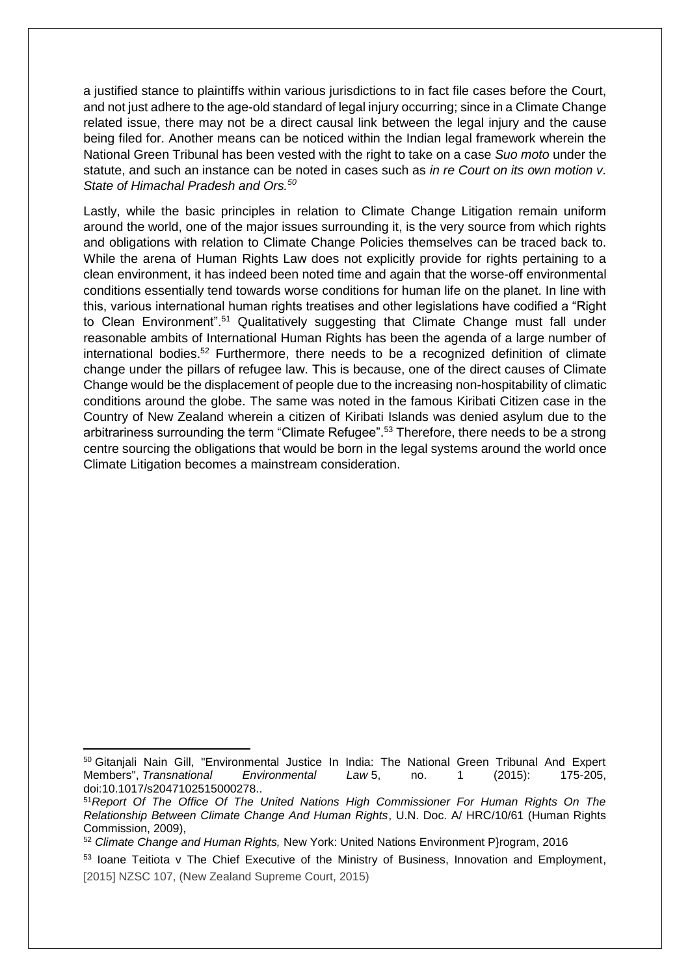a justified stance to plaintiffs within various jurisdictions to in fact file cases before the Court, and not just adhere to the age-old standard of legal injury occurring; since in a Climate Change related issue, there may not be a direct causal link between the legal injury and the cause being filed for. Another means can be noticed within the Indian legal framework wherein the National Green Tribunal has been vested with the right to take on a case *Suo moto* under the statute, and such an instance can be noted in cases such as *in re Court on its own motion v. State of Himachal Pradesh and Ors.<sup>50</sup>*

Lastly, while the basic principles in relation to Climate Change Litigation remain uniform around the world, one of the major issues surrounding it, is the very source from which rights and obligations with relation to Climate Change Policies themselves can be traced back to. While the arena of Human Rights Law does not explicitly provide for rights pertaining to a clean environment, it has indeed been noted time and again that the worse-off environmental conditions essentially tend towards worse conditions for human life on the planet. In line with this, various international human rights treatises and other legislations have codified a "Right to Clean Environment".<sup>51</sup> Qualitatively suggesting that Climate Change must fall under reasonable ambits of International Human Rights has been the agenda of a large number of international bodies.<sup>52</sup> Furthermore, there needs to be a recognized definition of climate change under the pillars of refugee law. This is because, one of the direct causes of Climate Change would be the displacement of people due to the increasing non-hospitability of climatic conditions around the globe. The same was noted in the famous Kiribati Citizen case in the Country of New Zealand wherein a citizen of Kiribati Islands was denied asylum due to the arbitrariness surrounding the term "Climate Refugee".<sup>53</sup> Therefore, there needs to be a strong centre sourcing the obligations that would be born in the legal systems around the world once Climate Litigation becomes a mainstream consideration.

 $\overline{a}$ <sup>50</sup> Gitanjali Nain Gill, "Environmental Justice In India: The National Green Tribunal And Expert Members", *Transnational Environmental Law* 5, no. 1 (2015): 175-205, doi:10.1017/s2047102515000278..

<sup>51</sup>*Report Of The Office Of The United Nations High Commissioner For Human Rights On The Relationship Between Climate Change And Human Rights*, U.N. Doc. A/ HRC/10/61 (Human Rights Commission, 2009),

<sup>52</sup> *Climate Change and Human Rights,* New York: United Nations Environment P}rogram, 2016

<sup>53</sup> Ioane Teitiota v The Chief Executive of the Ministry of Business, Innovation and Employment, [2015] NZSC 107, (New Zealand Supreme Court, 2015)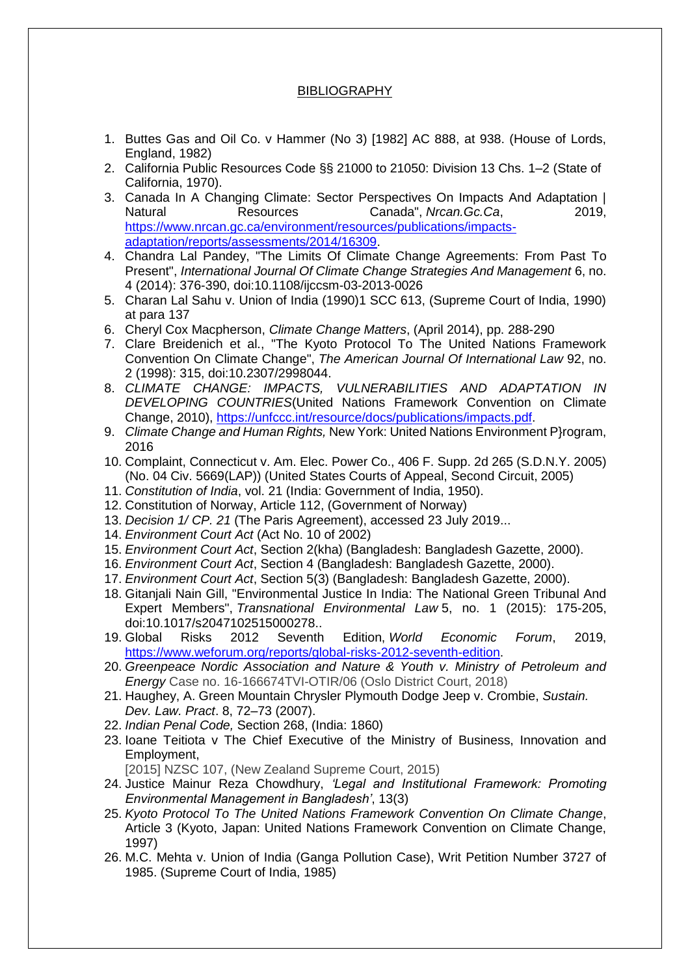### **BIBLIOGRAPHY**

- 1. Buttes Gas and Oil Co. v Hammer (No 3) [1982] AC 888, at 938. (House of Lords, England, 1982)
- 2. California Public Resources Code §§ 21000 to 21050: Division 13 Chs. 1–2 (State of California, 1970).
- 3. Canada In A Changing Climate: Sector Perspectives On Impacts And Adaptation | Natural Resources Canada", *Nrcan.Gc.Ca*, 2019, [https://www.nrcan.gc.ca/environment/resources/publications/impacts](https://www.nrcan.gc.ca/environment/resources/publications/impacts-adaptation/reports/assessments/2014/16309)[adaptation/reports/assessments/2014/16309.](https://www.nrcan.gc.ca/environment/resources/publications/impacts-adaptation/reports/assessments/2014/16309)
- 4. Chandra Lal Pandey, "The Limits Of Climate Change Agreements: From Past To Present", *International Journal Of Climate Change Strategies And Management* 6, no. 4 (2014): 376-390, doi:10.1108/ijccsm-03-2013-0026
- 5. Charan Lal Sahu v. Union of India (1990)1 SCC 613, (Supreme Court of India, 1990) at para 137
- 6. Cheryl Cox Macpherson, *Climate Change Matters*, (April 2014), pp. 288-290
- 7. Clare Breidenich et al., "The Kyoto Protocol To The United Nations Framework Convention On Climate Change", *The American Journal Of International Law* 92, no. 2 (1998): 315, doi:10.2307/2998044.
- 8. *CLIMATE CHANGE: IMPACTS, VULNERABILITIES AND ADAPTATION IN DEVELOPING COUNTRIES*(United Nations Framework Convention on Climate Change, 2010), [https://unfccc.int/resource/docs/publications/impacts.pdf.](https://unfccc.int/resource/docs/publications/impacts.pdf)
- 9. *Climate Change and Human Rights,* New York: United Nations Environment P}rogram, 2016
- 10. Complaint, Connecticut v. Am. Elec. Power Co., 406 F. Supp. 2d 265 (S.D.N.Y. 2005) (No. 04 Civ. 5669(LAP)) (United States Courts of Appeal, Second Circuit, 2005)
- 11. *Constitution of India*, vol. 21 (India: Government of India, 1950).
- 12. Constitution of Norway, Article 112, (Government of Norway)
- 13. *Decision 1/ CP. 21* (The Paris Agreement), accessed 23 July 2019...
- 14. *Environment Court Act* (Act No. 10 of 2002)
- 15. *Environment Court Act*, Section 2(kha) (Bangladesh: Bangladesh Gazette, 2000).
- 16. *Environment Court Act*, Section 4 (Bangladesh: Bangladesh Gazette, 2000).
- 17. *Environment Court Act*, Section 5(3) (Bangladesh: Bangladesh Gazette, 2000).
- 18. Gitanjali Nain Gill, "Environmental Justice In India: The National Green Tribunal And Expert Members", *Transnational Environmental Law* 5, no. 1 (2015): 175-205, doi:10.1017/s2047102515000278..
- 19. Global Risks 2012 Seventh Edition, *World Economic Forum*, 2019, [https://www.weforum.org/reports/global-risks-2012-seventh-edition.](https://www.weforum.org/reports/global-risks-2012-seventh-edition)
- 20. *Greenpeace Nordic Association and Nature & Youth v. Ministry of Petroleum and Energy* Case no. 16-166674TVI-OTIR/06 (Oslo District Court, 2018)
- 21. Haughey, A. Green Mountain Chrysler Plymouth Dodge Jeep v. Crombie, *Sustain. Dev. Law. Pract*. 8, 72–73 (2007).
- 22. *Indian Penal Code,* Section 268, (India: 1860)
- 23. Ioane Teitiota v The Chief Executive of the Ministry of Business, Innovation and Employment,

[2015] NZSC 107, (New Zealand Supreme Court, 2015)

- 24. Justice Mainur Reza Chowdhury, *'Legal and Institutional Framework: Promoting Environmental Management in Bangladesh'*, 13(3)
- 25. *Kyoto Protocol To The United Nations Framework Convention On Climate Change*, Article 3 (Kyoto, Japan: United Nations Framework Convention on Climate Change, 1997)
- 26. M.C. Mehta v. Union of India (Ganga Pollution Case), Writ Petition Number 3727 of 1985. (Supreme Court of India, 1985)